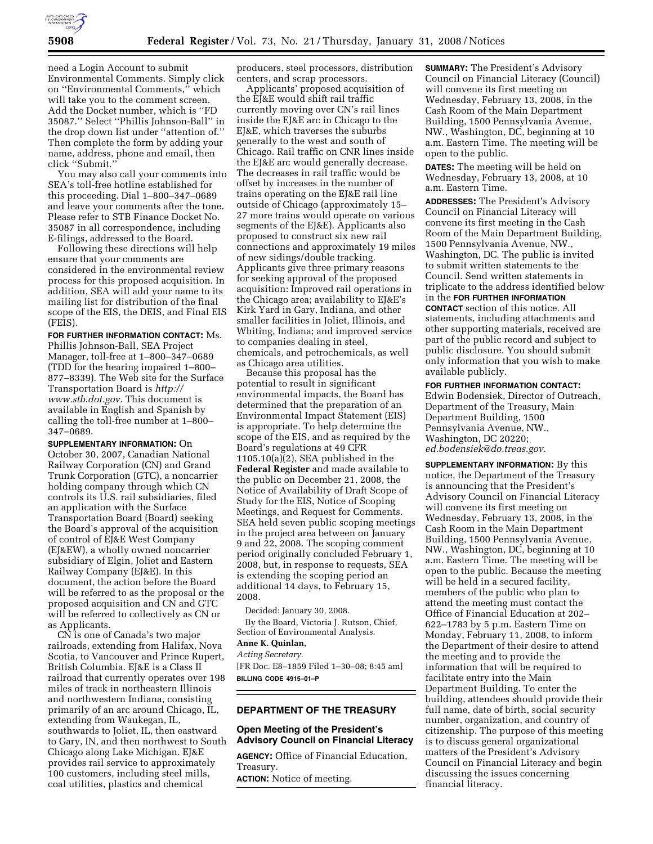

need a Login Account to submit Environmental Comments. Simply click on ''Environmental Comments,'' which will take you to the comment screen. Add the Docket number, which is ''FD 35087.'' Select ''Phillis Johnson-Ball'' in the drop down list under ''attention of.'' Then complete the form by adding your name, address, phone and email, then click ''Submit.''

You may also call your comments into SEA's toll-free hotline established for this proceeding. Dial 1–800–347–0689 and leave your comments after the tone. Please refer to STB Finance Docket No. 35087 in all correspondence, including E-filings, addressed to the Board.

Following these directions will help ensure that your comments are considered in the environmental review process for this proposed acquisition. In addition, SEA will add your name to its mailing list for distribution of the final scope of the EIS, the DEIS, and Final EIS (FEIS).

**FOR FURTHER INFORMATION CONTACT:** Ms. Phillis Johnson-Ball, SEA Project Manager, toll-free at 1–800–347–0689 (TDD for the hearing impaired 1–800– 877–8339). The Web site for the Surface Transportation Board is *http:// www.stb.dot.gov.* This document is available in English and Spanish by calling the toll-free number at 1–800– 347–0689.

**SUPPLEMENTARY INFORMATION:** On October 30, 2007, Canadian National Railway Corporation (CN) and Grand Trunk Corporation (GTC), a noncarrier holding company through which CN controls its U.S. rail subsidiaries, filed an application with the Surface Transportation Board (Board) seeking the Board's approval of the acquisition of control of EJ&E West Company (EJ&EW), a wholly owned noncarrier subsidiary of Elgin, Joliet and Eastern Railway Company (EJ&E). In this document, the action before the Board will be referred to as the proposal or the proposed acquisition and CN and GTC will be referred to collectively as CN or as Applicants.

CN is one of Canada's two major railroads, extending from Halifax, Nova Scotia, to Vancouver and Prince Rupert, British Columbia. EJ&E is a Class II railroad that currently operates over 198 miles of track in northeastern Illinois and northwestern Indiana, consisting primarily of an arc around Chicago, IL, extending from Waukegan, IL, southwards to Joliet, IL, then eastward to Gary, IN, and then northwest to South Chicago along Lake Michigan. EJ&E provides rail service to approximately 100 customers, including steel mills, coal utilities, plastics and chemical

producers, steel processors, distribution centers, and scrap processors.

Applicants' proposed acquisition of the EJ&E would shift rail traffic currently moving over CN's rail lines inside the EJ&E arc in Chicago to the EJ&E, which traverses the suburbs generally to the west and south of Chicago. Rail traffic on CNR lines inside the EJ&E arc would generally decrease. The decreases in rail traffic would be offset by increases in the number of trains operating on the EJ&E rail line outside of Chicago (approximately 15– 27 more trains would operate on various segments of the EJ&E). Applicants also proposed to construct six new rail connections and approximately 19 miles of new sidings/double tracking. Applicants give three primary reasons for seeking approval of the proposed acquisition: Improved rail operations in the Chicago area; availability to EJ&E's Kirk Yard in Gary, Indiana, and other smaller facilities in Joliet, Illinois, and Whiting, Indiana; and improved service to companies dealing in steel, chemicals, and petrochemicals, as well as Chicago area utilities.

Because this proposal has the potential to result in significant environmental impacts, the Board has determined that the preparation of an Environmental Impact Statement (EIS) is appropriate. To help determine the scope of the EIS, and as required by the Board's regulations at 49 CFR  $1105.10(a)(2)$ , SEA published in the **Federal Register** and made available to the public on December 21, 2008, the Notice of Availability of Draft Scope of Study for the EIS, Notice of Scoping Meetings, and Request for Comments. SEA held seven public scoping meetings in the project area between on January 9 and 22, 2008. The scoping comment period originally concluded February 1, 2008, but, in response to requests, SEA is extending the scoping period an additional 14 days, to February 15, 2008.

Decided: January 30, 2008.

By the Board, Victoria J. Rutson, Chief, Section of Environmental Analysis.

# **Anne K. Quinlan,**

*Acting Secretary.*  [FR Doc. E8–1859 Filed 1–30–08; 8:45 am] **BILLING CODE 4915–01–P** 

## **DEPARTMENT OF THE TREASURY**

## **Open Meeting of the President's Advisory Council on Financial Literacy**

**AGENCY:** Office of Financial Education, Treasury.

**ACTION:** Notice of meeting.

**SUMMARY:** The President's Advisory Council on Financial Literacy (Council) will convene its first meeting on Wednesday, February 13, 2008, in the Cash Room of the Main Department Building, 1500 Pennsylvania Avenue, NW., Washington, DC, beginning at 10 a.m. Eastern Time. The meeting will be open to the public.

**DATES:** The meeting will be held on Wednesday, February 13, 2008, at 10 a.m. Eastern Time.

**ADDRESSES:** The President's Advisory Council on Financial Literacy will convene its first meeting in the Cash Room of the Main Department Building, 1500 Pennsylvania Avenue, NW., Washington, DC. The public is invited to submit written statements to the Council. Send written statements in triplicate to the address identified below in the **FOR FURTHER INFORMATION CONTACT** section of this notice. All statements, including attachments and other supporting materials, received are part of the public record and subject to public disclosure. You should submit only information that you wish to make available publicly.

**FOR FURTHER INFORMATION CONTACT:**  Edwin Bodensiek, Director of Outreach, Department of the Treasury, Main Department Building, 1500 Pennsylvania Avenue, NW., Washington, DC 20220; *ed.bodensiek@do.treas.gov.* 

**SUPPLEMENTARY INFORMATION:** By this notice, the Department of the Treasury is announcing that the President's Advisory Council on Financial Literacy will convene its first meeting on Wednesday, February 13, 2008, in the Cash Room in the Main Department Building, 1500 Pennsylvania Avenue, NW., Washington, DC, beginning at 10 a.m. Eastern Time. The meeting will be open to the public. Because the meeting will be held in a secured facility, members of the public who plan to attend the meeting must contact the Office of Financial Education at 202– 622–1783 by 5 p.m. Eastern Time on Monday, February 11, 2008, to inform the Department of their desire to attend the meeting and to provide the information that will be required to facilitate entry into the Main Department Building. To enter the building, attendees should provide their full name, date of birth, social security number, organization, and country of citizenship. The purpose of this meeting is to discuss general organizational matters of the President's Advisory Council on Financial Literacy and begin discussing the issues concerning financial literacy.